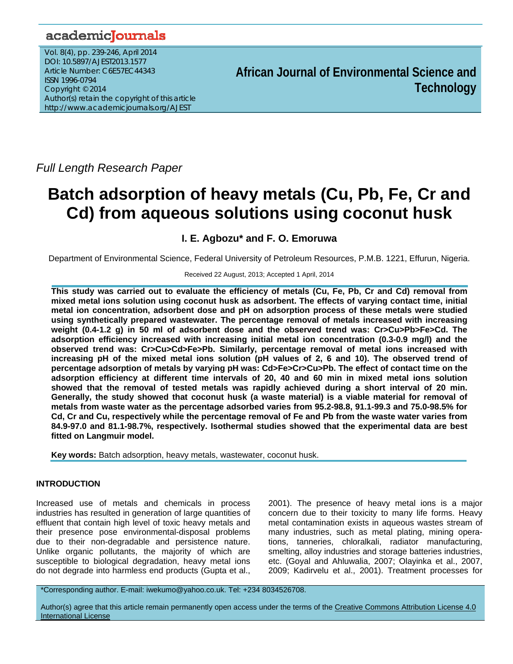## academicJournals

Vol. 8(4), pp. 239-246, April 2014 DOI: 10.5897/AJEST2013.1577 Article Number: C6E57EC44343 ISSN 1996-0794 Copyright © 2014 Author(s) retain the copyright of this article http://www.academicjournals.org/AJEST

**African Journal of Environmental Science and Technology**

*Full Length Research Paper* 

# **Batch adsorption of heavy metals (Cu, Pb, Fe, Cr and Cd) from aqueous solutions using coconut husk**

## **I. E. Agbozu\* and F. O. Emoruwa**

Department of Environmental Science, Federal University of Petroleum Resources, P.M.B. 1221, Effurun, Nigeria.

### Received 22 August, 2013; Accepted 1 April, 2014

**This study was carried out to evaluate the efficiency of metals (Cu, Fe, Pb, Cr and Cd) removal from mixed metal ions solution using coconut husk as adsorbent. The effects of varying contact time, initial metal ion concentration, adsorbent dose and pH on adsorption process of these metals were studied using synthetically prepared wastewater. The percentage removal of metals increased with increasing weight (0.4-1.2 g) in 50 ml of adsorbent dose and the observed trend was: Cr>Cu>Pb>Fe>Cd. The adsorption efficiency increased with increasing initial metal ion concentration (0.3-0.9 mg/l) and the observed trend was: Cr>Cu>Cd>Fe>Pb. Similarly, percentage removal of metal ions increased with increasing pH of the mixed metal ions solution (pH values of 2, 6 and 10). The observed trend of percentage adsorption of metals by varying pH was: Cd>Fe>Cr>Cu>Pb. The effect of contact time on the adsorption efficiency at different time intervals of 20, 40 and 60 min in mixed metal ions solution showed that the removal of tested metals was rapidly achieved during a short interval of 20 min. Generally, the study showed that coconut husk (a waste material) is a viable material for removal of metals from waste water as the percentage adsorbed varies from 95.2-98.8, 91.1-99.3 and 75.0-98.5% for Cd, Cr and Cu, respectively while the percentage removal of Fe and Pb from the waste water varies from 84.9-97.0 and 81.1-98.7%, respectively. Isothermal studies showed that the experimental data are best fitted on Langmuir model.** 

**Key words:** Batch adsorption, heavy metals, wastewater, coconut husk.

## **INTRODUCTION**

Increased use of metals and chemicals in process industries has resulted in generation of large quantities of effluent that contain high level of toxic heavy metals and their presence pose environmental-disposal problems due to their non-degradable and persistence nature. Unlike organic pollutants, the majority of which are susceptible to biological degradation, heavy metal ions do not degrade into harmless end products (Gupta et al.,

2001). The presence of heavy metal ions is a major concern due to their toxicity to many life forms. Heavy metal contamination exists in aqueous wastes stream of many industries, such as metal plating, mining operations, tanneries, chloralkali, radiator manufacturing, smelting, alloy industries and storage batteries industries, etc. (Goyal and Ahluwalia, 2007; Olayinka et al., 2007, 2009; Kadirvelu et al., 2001). Treatment processes for

\*Corresponding author. E-mail: iwekumo@yahoo.co.uk. Tel: +234 8034526708.

Author(s) agree that this article remain permanently open access under the terms of the Creative Commons Attribution License 4.0 International License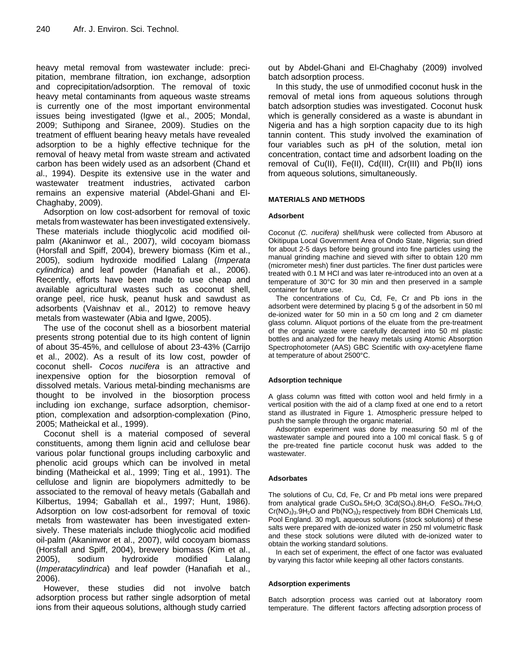heavy metal removal from wastewater include: precipitation, membrane filtration, ion exchange, adsorption and coprecipitation/adsorption. The removal of toxic heavy metal contaminants from aqueous waste streams is currently one of the most important environmental issues being investigated (Igwe et al., 2005; Mondal, 2009; Suthipong and Siranee, 2009). Studies on the treatment of effluent bearing heavy metals have revealed adsorption to be a highly effective technique for the removal of heavy metal from waste stream and activated carbon has been widely used as an adsorbent (Chand et al., 1994). Despite its extensive use in the water and wastewater treatment industries, activated carbon remains an expensive material (Abdel-Ghani and El-Chaghaby, 2009).

Adsorption on low cost-adsorbent for removal of toxic metals from wastewater has been investigated extensively. These materials include thioglycolic acid modified oilpalm (Akaninwor et al., 2007), wild cocoyam biomass (Horsfall and Spiff, 2004), brewery biomass (Kim et al., 2005), sodium hydroxide modified Lalang (*Imperata cylindrica*) and leaf powder (Hanafiah et al., 2006). Recently, efforts have been made to use cheap and available agricultural wastes such as coconut shell, orange peel, rice husk, peanut husk and sawdust as adsorbents (Vaishnav et al., 2012) to remove heavy metals from wastewater (Abia and Igwe, 2005).

The use of the coconut shell as a biosorbent material presents strong potential due to its high content of lignin of about 35-45%, and cellulose of about 23-43% (Carrijo et al., 2002). As a result of its low cost, powder of coconut shell- *Cocos nucifera* is an attractive and inexpensive option for the biosorption removal of dissolved metals. Various metal-binding mechanisms are thought to be involved in the biosorption process including ion exchange, surface adsorption, chemisorption, complexation and adsorption-complexation (Pino, 2005; Matheickal et al., 1999).

Coconut shell is a material composed of several constituents, among them lignin acid and cellulose bear various polar functional groups including carboxylic and phenolic acid groups which can be involved in metal binding (Matheickal et al., 1999; Ting et al., 1991). The cellulose and lignin are biopolymers admittedly to be associated to the removal of heavy metals (Gaballah and Kilbertus, 1994; Gaballah et al., 1997; Hunt, 1986). Adsorption on low cost-adsorbent for removal of toxic metals from wastewater has been investigated extensively. These materials include thioglycolic acid modified oil-palm (Akaninwor et al., 2007), wild cocoyam biomass (Horsfall and Spiff, 2004), brewery biomass (Kim et al., 2005), sodium hydroxide modified Lalang (*Imperatacylindrica*) and leaf powder (Hanafiah et al., 2006).

However, these studies did not involve batch adsorption process but rather single adsorption of metal ions from their aqueous solutions, although study carried

out by Abdel-Ghani and El-Chaghaby (2009) involved batch adsorption process.

In this study, the use of unmodified coconut husk in the removal of metal ions from aqueous solutions through batch adsorption studies was investigated. Coconut husk which is generally considered as a waste is abundant in Nigeria and has a high sorption capacity due to its high tannin content. This study involved the examination of four variables such as pH of the solution, metal ion concentration, contact time and adsorbent loading on the removal of Cu(II), Fe(II), Cd(III), Cr(III) and Pb(II) ions from aqueous solutions, simultaneously.

#### **MATERIALS AND METHODS**

#### **Adsorbent**

Coconut *(C. nucifera)* shell/husk were collected from Abusoro at Okitipupa Local Government Area of Ondo State, Nigeria; sun dried for about 2-5 days before being ground into fine particles using the manual grinding machine and sieved with sifter to obtain 120 mm (micrometer mesh) finer dust particles. The finer dust particles were treated with 0.1 M HCl and was later re-introduced into an oven at a temperature of 30°C for 30 min and then preserved in a sample container for future use.

The concentrations of Cu, Cd, Fe, Cr and Pb ions in the adsorbent were determined by placing 5 g of the adsorbent in 50 ml de-ionized water for 50 min in a 50 cm long and 2 cm diameter glass column. Aliquot portions of the eluate from the pre-treatment of the organic waste were carefully decanted into 50 ml plastic bottles and analyzed for the heavy metals using Atomic Absorption Spectrophotometer (AAS) GBC Scientific with oxy-acetylene flame at temperature of about 2500°C.

#### **Adsorption technique**

A glass column was fitted with cotton wool and held firmly in a vertical position with the aid of a clamp fixed at one end to a retort stand as illustrated in Figure 1. Atmospheric pressure helped to push the sample through the organic material.

Adsorption experiment was done by measuring 50 ml of the wastewater sample and poured into a 100 ml conical flask. 5 g of the pre-treated fine particle coconut husk was added to the wastewater.

#### **Adsorbates**

The solutions of Cu, Cd, Fe, Cr and Pb metal ions were prepared from analytical grade CuSO<sub>4</sub>.5H<sub>2</sub>O<sub>,</sub> 3Cd(SO<sub>4</sub>).8H<sub>2</sub>O<sub>,</sub> FeSO<sub>4</sub>.7H<sub>2</sub>O<sub>,</sub>  $Cr(NO<sub>3</sub>)<sub>3</sub>·9H<sub>2</sub>O$  and  $Pb(NO<sub>3</sub>)<sub>2</sub>$  respectively from BDH Chemicals Ltd, Pool England. 30 mg/L aqueous solutions (stock solutions) of these salts were prepared with de-ionized water in 250 ml volumetric flask and these stock solutions were diluted with de-ionized water to obtain the working standard solutions.

In each set of experiment, the effect of one factor was evaluated by varying this factor while keeping all other factors constants.

#### **Adsorption experiments**

Batch adsorption process was carried out at laboratory room temperature. The different factors affecting adsorption process of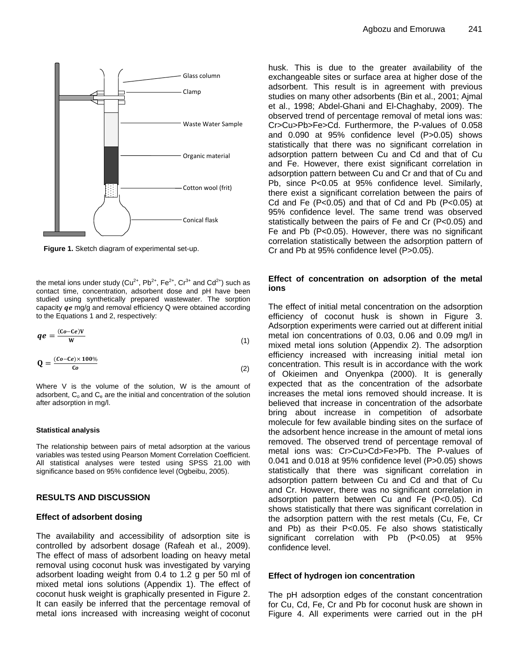

**Figure 1.** Sketch diagram of experimental set-up.

the metal ions under study ( $Cu^{2+}$ ,  $Pb^{2+}$ ,  $Fe^{2+}$ ,  $Cr^{3+}$  and  $Cd^{2+}$ ) such as contact time, concentration, adsorbent dose and pH have been studied using synthetically prepared wastewater. The sorption capacity  $qe$  mg/g and removal efficiency  $Q$  were obtained according to the Equations 1 and 2, respectively:

$$
qe = \frac{(co - Ce)V}{W} \tag{1}
$$

$$
\mathbf{Q} = \frac{(Co - Ce) \times 100\%}{Co} \tag{2}
$$

Where V is the volume of the solution, W is the amount of adsorbent,  $C_0$  and  $C_e$  are the initial and concentration of the solution after adsorption in mg/l.

#### **Statistical analysis**

The relationship between pairs of metal adsorption at the various variables was tested using Pearson Moment Correlation Coefficient. All statistical analyses were tested using SPSS 21.00 with significance based on 95% confidence level (Ogbeibu, 2005).

#### **RESULTS AND DISCUSSION**

#### **Effect of adsorbent dosing**

The availability and accessibility of adsorption site is controlled by adsorbent dosage (Rafeah et al., 2009). The effect of mass of adsorbent loading on heavy metal removal using coconut husk was investigated by varying adsorbent loading weight from 0.4 to 1.2 g per 50 ml of mixed metal ions solutions (Appendix 1). The effect of coconut husk weight is graphically presented in Figure 2. It can easily be inferred that the percentage removal of metal ions increased with increasing weight of coconut husk. This is due to the greater availability of the exchangeable sites or surface area at higher dose of the adsorbent. This result is in agreement with previous studies on many other adsorbents (Bin et al., 2001; Ajmal et al., 1998; Abdel-Ghani and El-Chaghaby, 2009). The observed trend of percentage removal of metal ions was: Cr>Cu>Pb>Fe>Cd. Furthermore, the P-values of 0.058 and 0.090 at 95% confidence level (P>0.05) shows statistically that there was no significant correlation in adsorption pattern between Cu and Cd and that of Cu and Fe. However, there exist significant correlation in adsorption pattern between Cu and Cr and that of Cu and Pb, since P<0.05 at 95% confidence level. Similarly, there exist a significant correlation between the pairs of Cd and Fe  $(P<0.05)$  and that of Cd and Pb  $(P<0.05)$  at 95% confidence level. The same trend was observed statistically between the pairs of Fe and Cr (P<0.05) and Fe and Pb (P<0.05). However, there was no significant correlation statistically between the adsorption pattern of Cr and Pb at 95% confidence level (P>0.05).

#### **Effect of concentration on adsorption of the metal ions**

The effect of initial metal concentration on the adsorption efficiency of coconut husk is shown in Figure 3. Adsorption experiments were carried out at different initial metal ion concentrations of 0.03, 0.06 and 0.09 mg/l in mixed metal ions solution (Appendix 2). The adsorption efficiency increased with increasing initial metal ion concentration. This result is in accordance with the work of Okieimen and Onyenkpa (2000). It is generally expected that as the concentration of the adsorbate increases the metal ions removed should increase. It is believed that increase in concentration of the adsorbate bring about increase in competition of adsorbate molecule for few available binding sites on the surface of the adsorbent hence increase in the amount of metal ions removed. The observed trend of percentage removal of metal ions was: Cr>Cu>Cd>Fe>Pb. The P-values of 0.041 and 0.018 at 95% confidence level (P>0.05) shows statistically that there was significant correlation in adsorption pattern between Cu and Cd and that of Cu and Cr. However, there was no significant correlation in adsorption pattern between Cu and Fe (P<0.05). Cd shows statistically that there was significant correlation in the adsorption pattern with the rest metals (Cu, Fe, Cr and Pb) as their P<0.05. Fe also shows statistically significant correlation with Pb (P<0.05) at 95% confidence level.

#### **Effect of hydrogen ion concentration**

The pH adsorption edges of the constant concentration for Cu, Cd, Fe, Cr and Pb for coconut husk are shown in Figure 4. All experiments were carried out in the pH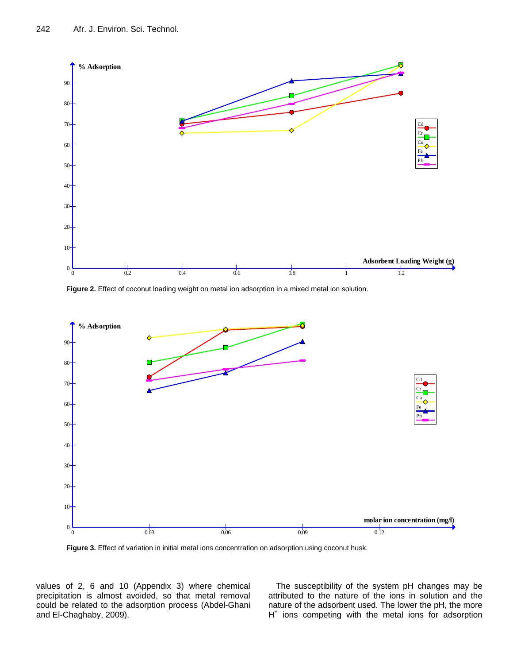

Figure 2. Effect of coconut loading weight on metal ion adsorption in a mixed metal ion solution.



**Figure 3.** Effect of variation in initial metal ions concentration on adsorption using coconut husk.

values of 2, 6 and 10 (Appendix 3) where chemical precipitation is almost avoided, so that metal removal could be related to the adsorption process (Abdel-Ghani and El-Chaghaby, 2009).

The susceptibility of the system pH changes may be attributed to the nature of the ions in solution and the nature of the adsorbent used. The lower the pH, the more H<sup>+</sup> ions competing with the metal ions for adsorption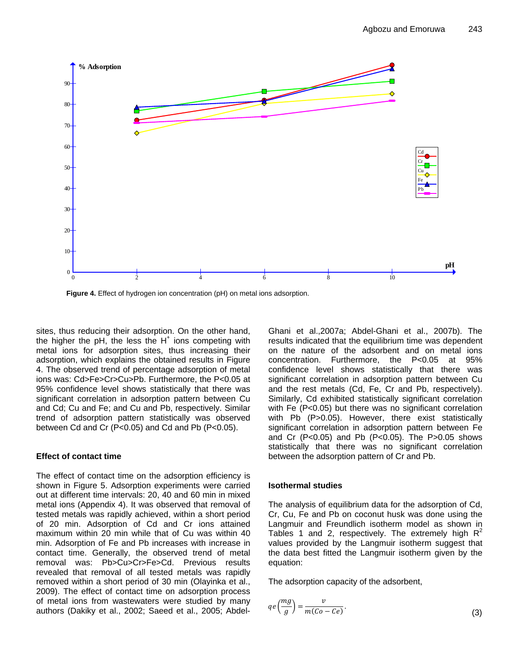

**Figure 4.** Effect of hydrogen ion concentration (pH) on metal ions adsorption.

sites, thus reducing their adsorption. On the other hand, the higher the pH, the less the  $H^+$  ions competing with metal ions for adsorption sites, thus increasing their adsorption, which explains the obtained results in Figure 4. The observed trend of percentage adsorption of metal ions was: Cd>Fe>Cr>Cu>Pb. Furthermore, the P<0.05 at 95% confidence level shows statistically that there was significant correlation in adsorption pattern between Cu and Cd; Cu and Fe; and Cu and Pb, respectively. Similar trend of adsorption pattern statistically was observed between Cd and Cr (P<0.05) and Cd and Pb (P<0.05).

## **Effect of contact time**

The effect of contact time on the adsorption efficiency is shown in Figure 5. Adsorption experiments were carried out at different time intervals: 20, 40 and 60 min in mixed metal ions (Appendix 4). It was observed that removal of tested metals was rapidly achieved, within a short period of 20 min. Adsorption of Cd and Cr ions attained maximum within 20 min while that of Cu was within 40 min. Adsorption of Fe and Pb increases with increase in contact time. Generally, the observed trend of metal removal was: Pb>Cu>Cr>Fe>Cd. Previous results revealed that removal of all tested metals was rapidly removed within a short period of 30 min (Olayinka et al., 2009). The effect of contact time on adsorption process of metal ions from wastewaters were studied by many authors (Dakiky et al., 2002; Saeed et al., 2005; AbdelGhani et al.,2007a; Abdel-Ghani et al., 2007b). The results indicated that the equilibrium time was dependent on the nature of the adsorbent and on metal ions concentration. Furthermore, the P<0.05 at 95% confidence level shows statistically that there was significant correlation in adsorption pattern between Cu and the rest metals (Cd, Fe, Cr and Pb, respectively). Similarly, Cd exhibited statistically significant correlation with Fe (P<0.05) but there was no significant correlation with Pb (P>0.05). However, there exist statistically significant correlation in adsorption pattern between Fe and Cr (P<0.05) and Pb (P<0.05). The P>0.05 shows statistically that there was no significant correlation between the adsorption pattern of Cr and Pb.

## **Isothermal studies**

The analysis of equilibrium data for the adsorption of Cd, Cr, Cu, Fe and Pb on coconut husk was done using the Langmuir and Freundlich isotherm model as shown in Tables 1 and 2, respectively. The extremely high  $R^2$ values provided by the Langmuir isotherm suggest that the data best fitted the Langmuir isotherm given by the equation:

The adsorption capacity of the adsorbent,

$$
qe\left(\frac{mg}{g}\right) = \frac{v}{m(Co - Ce)}.
$$
\n(3)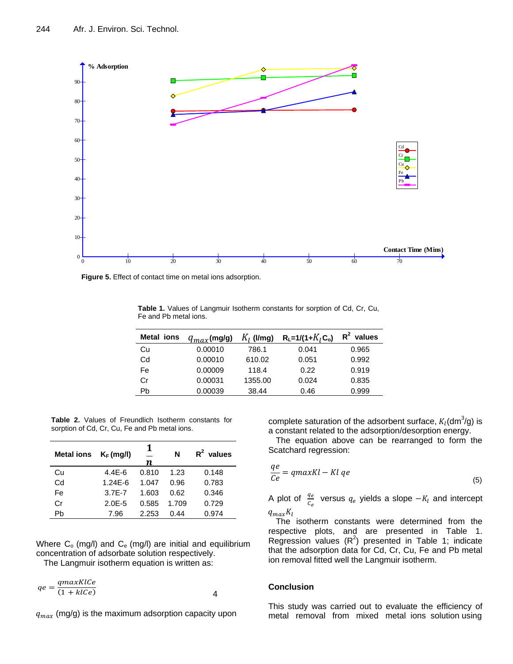

**Figure 5.** Effect of contact time on metal ions adsorption.

**Table 1.** Values of Langmuir Isotherm constants for sorption of Cd, Cr, Cu, Fe and Pb metal ions.

| Metal ions | $q_{max}$ (mg/g) | $K_l$ (I/mg) | $R_{L} = 1/(1 + K_{I}C_{o})$ | $R^2$ values |
|------------|------------------|--------------|------------------------------|--------------|
| Cu         | 0.00010          | 786.1        | 0.041                        | 0.965        |
| Cd         | 0.00010          | 610.02       | 0.051                        | 0.992        |
| Fe         | 0.00009          | 118.4        | 0.22                         | 0.919        |
| Cr         | 0.00031          | 1355.00      | 0.024                        | 0.835        |
| Pb         | 0.00039          | 38.44        | 0.46                         | 0.999        |

**Table 2.** Values of Freundlich Isotherm constants for sorption of Cd, Cr, Cu, Fe and Pb metal ions.

| <b>Metal ions</b> | $K_F$ (mg/l) | 1<br>n | N     | $R^2$ values |
|-------------------|--------------|--------|-------|--------------|
| Cu                | $4.4E - 6$   | 0.810  | 1.23  | 0.148        |
| Cd                | $1.24F - 6$  | 1.047  | 0.96  | 0.783        |
| Fe                | $3.7F - 7$   | 1.603  | 0.62  | 0.346        |
| Cr                | $2.0E - 5$   | 0.585  | 1.709 | 0.729        |
| Ph                | 7.96         | 2.253  | 0.44  | 0.974        |

Where  $C_0$  (mg/l) and  $C_e$  (mg/l) are initial and equilibrium concentration of adsorbate solution respectively.

The Langmuir isotherm equation is written as:

 4  $qe = \frac{qmaxKlCe}{(1 + hCc)}$  $(1 + klCe)$ 

 $q_{max}$  (mg/g) is the maximum adsorption capacity upon

complete saturation of the adsorbent surface,  $K_l$ (dm<sup>3</sup>/g) is a constant related to the adsorption/desorption energy.

The equation above can be rearranged to form the Scatchard regression:

$$
\frac{qe}{Ce} = qmaxKl - Kl\,qe\tag{5}
$$

A plot of  $\frac{q_e}{c_e}$  versus  $q_e$  yields a slope  $-K_l$  and intercept  $q_{max}K_l$ 

The isotherm constants were determined from the respective plots, and are presented in Table 1. Regression values  $(R^2)$  presented in Table 1; indicate that the adsorption data for Cd, Cr, Cu, Fe and Pb metal ion removal fitted well the Langmuir isotherm.

#### **Conclusion**

This study was carried out to evaluate the efficiency of metal removal from mixed metal ions solution using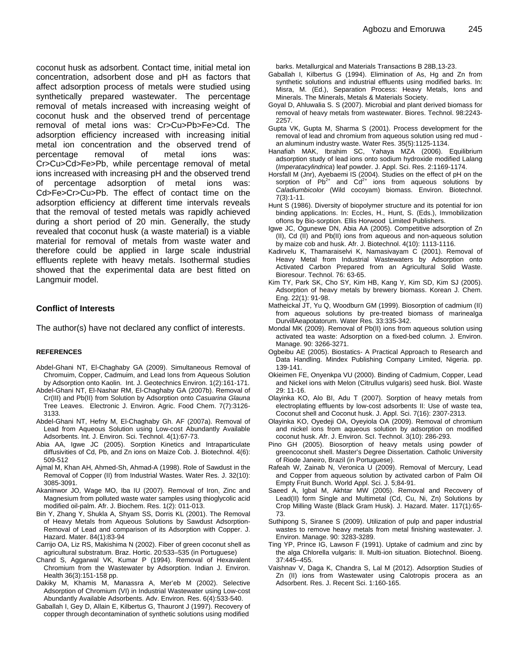coconut husk as adsorbent. Contact time, initial metal ion concentration, adsorbent dose and pH as factors that affect adsorption process of metals were studied using synthetically prepared wastewater. The percentage removal of metals increased with increasing weight of coconut husk and the observed trend of percentage removal of metal ions was: Cr>Cu>Pb>Fe>Cd. The adsorption efficiency increased with increasing initial metal ion concentration and the observed trend of percentage removal of metal ions was: Cr>Cu>Cd>Fe>Pb, while percentage removal of metal ions increased with increasing pH and the observed trend of percentage adsorption of metal ions was: Cd>Fe>Cr>Cu>Pb. The effect of contact time on the adsorption efficiency at different time intervals reveals that the removal of tested metals was rapidly achieved during a short period of 20 min. Generally, the study revealed that coconut husk (a waste material) is a viable material for removal of metals from waste water and therefore could be applied in large scale industrial effluents replete with heavy metals. Isothermal studies showed that the experimental data are best fitted on Langmuir model.

#### **Conflict of Interests**

The author(s) have not declared any conflict of interests.

#### **REFERENCES**

- Abdel-Ghani NT, El-Chaghaby GA (2009). Simultaneous Removal of Chromuim, Copper, Cadmuim, and Lead Ions from Aqueous Solution by Adsorption onto Kaolin. Int. J. Geotechnics Environ. 1(2):161-171.
- Abdel-Ghani NT, El-Nashar RM, El-Chaghaby GA (2007b). Removal of Cr(III) and Pb(II) from Solution by Adsorption onto *Casuarina Glauna*  Tree Leaves. Electronic J. Environ. Agric. Food Chem. 7(7):3126- 3133.
- Abdel-Ghani NT, Hefny M, El-Chaghaby Gh. AF (2007a). Removal of Lead from Aqueous Solution using Low-cost Abundantly Available Adsorbents. Int. J. Environ. Sci. Technol. 4(1):67-73.
- Abia AA, Igwe JC (2005). Sorption Kinetics and Intraparticulate diffusivities of Cd, Pb, and Zn ions on Maize Cob. J. Biotechnol. 4(6): 509-512
- Ajmal M, Khan AH, Ahmed-Sh, Ahmad-A (1998). Role of Sawdust in the Removal of Copper (II) from Industrial Wastes. Water Res. J. 32(10): 3085-3091.
- Akaninwor JO, Wage MO, Iba IU (2007). Removal of Iron, Zinc and Magnesium from polluted waste water samples using thioglycolic acid modified oil-palm. Afr. J. Biochem. Res. 1(2): 011-013.
- Bin Y, Zhang Y, Shukla A, Shyam SS, Dorris KL (2001). The Removal of Heavy Metals from Aqueous Solutions by Sawdust Adsorption-Removal of Lead and comparison of its Adsorption with Copper. J. Hazard. Mater. 84(1):83-94
- Carrijo OA, Liz RS, Makishima N (2002). Fiber of green coconut shell as agricultural substratum. Braz. Hortic. 20:533–535 (in Portuguese)
- Chand S, Aggarwal VK, Kumar P (1994). Removal of Hexavalent Chromium from the Wastewater by Adsorption. Indian J. Environ. Health 36(3):151-158 pp.
- Dakiky M, Khamis M, Manassra A, Mer'eb M (2002). Selective Adsorption of Chromium (VI) in Industrial Wastewater using Low-cost Abundantly Available Adsorbents. Adv. Environ. Res. 6(4):533-540.
- Gaballah I, Gey D, Allain E, Kilbertus G, Thauront J (1997). Recovery of copper through decontamination of synthetic solutions using modified

barks. Metallurgical and Materials Transactions B 28B,13-23.

- Gaballah I, Kilbertus G (1994). Elimination of As, Hg and Zn from synthetic solutions and industrial effluents using modified barks. In: Misra, M. (Ed.), Separation Process: Heavy Metals, Ions and Minerals. The Minerals, Metals & Materials Society.
- Goyal D, Ahluwalia S. S (2007). Microbial and plant derived biomass for removal of heavy metals from wastewater. Biores. Technol. 98:2243- 2257.
- Gupta VK, Gupta M, Sharma S (2001). Process development for the removal of lead and chromium from aqueous solution using red mud an aluminum industry waste. Water Res. 35(5):1125-1134.
- Hanafiah MAK, Ibrahim SC, Yahaya MZA (2006). Equilibrium adsorption study of lead ions onto sodium hydroxide modified Lalang (*Imperatacylindrica*) leaf powder. J. Appl. Sci. Res. 2:1169-1174.
- Horsfall M (Jnr), Ayebaemi IS (2004). Studies on the effect of pH on the sorption of  $Pb^{2+}$  and  $Cd^{2+}$  ions from aqueous solutions by *Caladiumbicolor* (Wild cocoyam) biomass. Environ. Biotechnol. 7(3):1-11.
- Hunt S (1986). Diversity of biopolymer structure and its potential for ion binding applications. In: Eccles, H., Hunt, S. (Eds.), Immobilization oflons by Bio-sorption. Ellis Horwood Limited Publishers.
- Igwe JC, Ogunewe DN, Abia AA (2005). Competitive adsorption of Zn (II), Cd (II) and Pb(II) ions from aqueous and non-aqueous solution by maize cob and husk. Afr. J. Biotechnol. 4(10): 1113-1116.
- Kadirvelu K, Thamaraiselvi K, Namasivayam C (2001). Removal of Heavy Metal from Industrial Wastewaters by Adsorption onto Activated Carbon Prepared from an Agricultural Solid Waste. Bioresour. Technol. 76: 63-65.
- Kim TY, Park SK, Cho SY, Kim HB, Kang Y, Kim SD, Kim SJ (2005). Adsorption of heavy metals by brewery biomass. Korean J. Chem. Eng. 22(1): 91-98.
- Matheickal JT, Yu Q, Woodburn GM (1999). Biosorption of cadmium (II) from aqueous solutions by pre-treated biomass of marinealga DurvillAeapotatorum. Water Res. 33:335-342.
- Mondal MK (2009). Removal of Pb(II) ions from aqueous solution using activated tea waste: Adsorption on a fixed-bed column. J. Environ. Manage. 90: 3266-3271.
- Ogbeibu AE (2005). Biostatics- A Practical Approach to Research and Data Handling. Mindex Publishing Company Limited, Nigeria. pp. 139-141.
- Okieimen FE, Onyenkpa VU (2000). Binding of Cadmium, Copper, Lead and Nickel ions with Melon (Citrullus vulgaris) seed husk. Biol. Waste 29: 11-16.
- Olayinka KO, Alo BI, Adu T (2007). Sorption of heavy metals from electroplating effluents by low-cost adsorbents II: Use of waste tea, Coconut shell and Coconut husk. J. Appl. Sci. 7(16): 2307-2313.
- Olayinka KO, Oyedeji OA, Oyeyiola OA (2009). Removal of chromium and nickel ions from aqueous solution by adsorption on modified coconut husk. Afr. J. Environ. ScI. Technol. 3(10): 286-293.
- Pino GH (2005). Biosorption of heavy metals using powder of greencoconut shell. Master's Degree Dissertation. Catholic University of Riode Janeiro, Brazil (in Portuguese).
- Rafeah W, Zainab N, Veronica U (2009). Removal of Mercury, Lead and Copper from aqueous solution by activated carbon of Palm Oil Empty Fruit Bunch. World Appl. Sci. J. 5;84-91.
- Saeed A, Igbal M, Akhtar MW (2005). Removal and Recovery of Lead(II) form Single and Multimetal (Cd, Cu, Ni, Zn) Solutions by Crop Milling Waste (Black Gram Husk). J. Hazard. Mater. 117(1):65- 73.
- Suthipong S, Siranee S (2009). Utilization of pulp and paper industrial wastes to remove heavy metals from metal finishing wastewater. J. Environ. Manage. 90: 3283-3289.
- Ting YP, Prince IG, Lawson F (1991). Uptake of cadmium and zinc by the alga Chlorella vulgaris: II. Multi-ion situation. Biotechnol. Bioeng. 37:445–455.
- Vaishnav V, Daga K, Chandra S, Lal M (2012). Adsorption Studies of Zn (II) ions from Wastewater using Calotropis procera as an Adsorbent. Res. J. Recent Sci. 1:160-165.